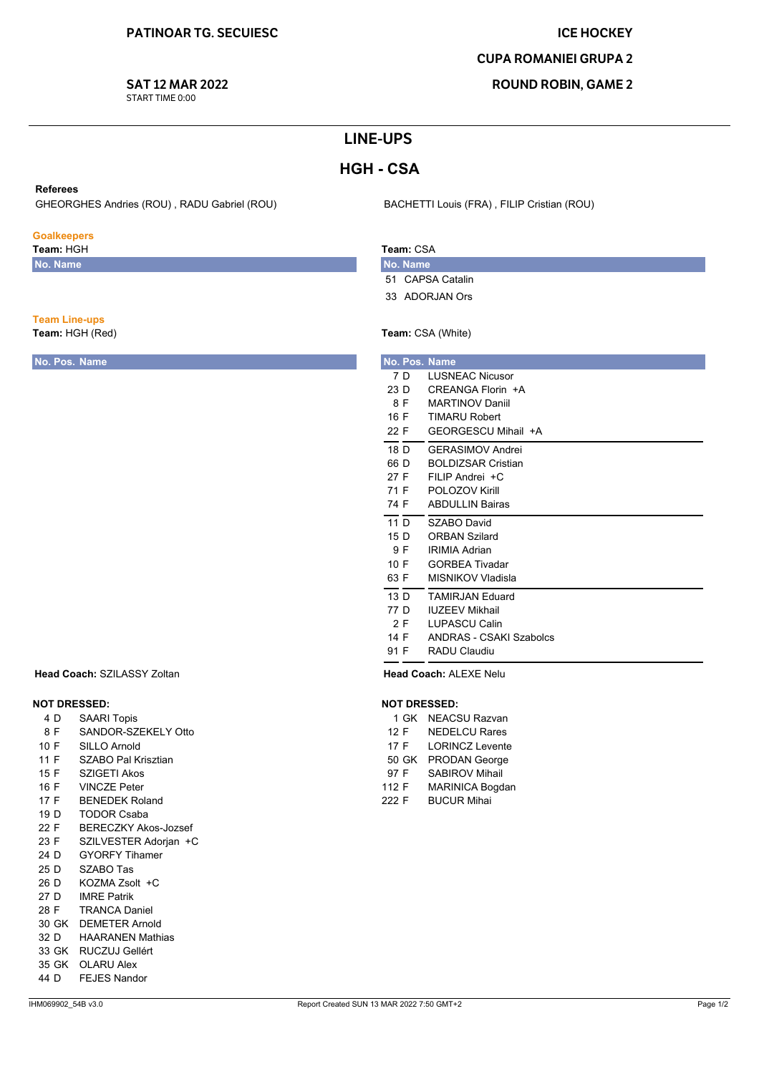# **ICE HOCKEY**

## **CUPA ROMANIEI GRUPA 2**

**ROUND ROBIN, GAME 2** 

# **SAT 12 MAR 2022**

START TIME 0:00

# **LINE-UPS**

# **HGH-CSA**

### **Referees**

GHEORGHES Andries (ROU), RADU Gabriel (ROU)

## **Goalkeepers**

**Team Line-ups** Team: HGH (Red)

No. Pos. Name

Team: HGH No. Name

BACHETTI Louis (FRA), FILIP Cristian (ROU)

## Team: CSA No. Name

- 51 CAPSA Catalin
- 33 ADORJAN Ors

# Team: CSA (White)

| No. Pos. Name |                           |
|---------------|---------------------------|
| 7 D           | <b>LUSNEAC Nicusor</b>    |
| 23 D          | CREANGA Florin +A         |
| 8 F           | <b>MARTINOV Daniil</b>    |
| 16 F          | <b>TIMARU Robert</b>      |
| 22 F          | GEORGESCU Mihail +A       |
| 18 D          | <b>GFRASIMOV Andrei</b>   |
| 66 D          | <b>BOLDIZSAR Cristian</b> |
| 27 F          | FII IP Andrei $+C$        |
| 71 F          | POI OZOV Kirill           |
| 74 F          | <b>ABDULLIN Bairas</b>    |
| 11 D          | SZABO David               |
| 15 D          | <b>ORBAN Szilard</b>      |
| 9 F           | <b>IRIMIA Adrian</b>      |
| 10 F          | <b>GORBEA Tivadar</b>     |
| 63 F          | MISNIKOV Vladisla         |
| 13 D          | <b>TAMIRJAN Eduard</b>    |
| 77 D          | <b>IUZEEV Mikhail</b>     |
| 2 F           | <b>LUPASCU Calin</b>      |
| 14 F          | ANDRAS - CSAKI Szabolcs   |
| 91 F          | RADU Claudiu              |

Head Coach: ALEXE Nelu

### **NOT DRESSED:**

|       | 1 GK  | <b>NEACSU Razvan</b>   |
|-------|-------|------------------------|
| 12 F  |       | <b>NEDELCU Rares</b>   |
| 17 F  |       | <b>LORINCZ Levente</b> |
|       | 50 GK | <b>PRODAN George</b>   |
| 97 F  |       | <b>SABIROV Mihail</b>  |
| 112 F |       | MARINICA Bogdan        |
| 222 F |       | <b>BUCUR Mihai</b>     |
|       |       |                        |

## Head Coach: SZILASSY Zoltan

# **NOT DRESSED:**

- 4 D SAARI Topis
- 8 F SANDOR-SZEKELY Otto
- 10 F **SILLO Arnold**
- $11F$ SZABO Pal Krisztian
- 15 F **SZIGETI Akos**
- 16 F **VINCZE Peter**
- 17 F **BENEDEK Roland**
- $19D$ **TODOR Csaba**
- 22 F **BERECZKY Akos-Jozsef**
- 23 F SZILVESTER Adorjan +C
- 24 D **GYORFY Tihamer**
- 25 D SZABO Tas KOZMA Zsolt +C 26 D
- $27<sub>D</sub>$ **IMRF Patrik**
- 28 F **TRANCA Daniel**
- 30 GK DEMETER Arnold
- 32 D **HAARANEN Mathias**
- 33 GK RUCZUJ Gellért
- 35 GK OLARU Alex
- **FEJES Nandor** 44 D